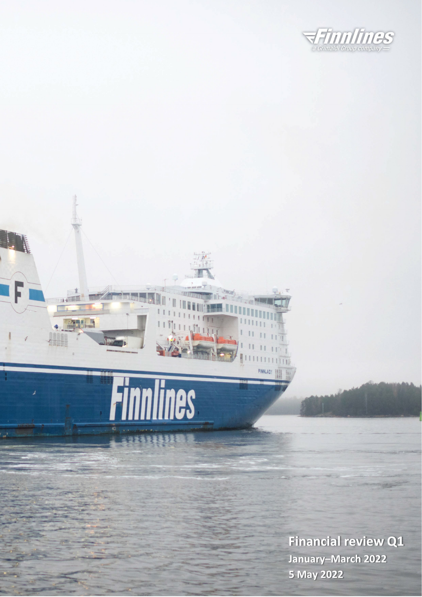

# Finnlines

**MAN** 

 $\frac{1}{2}$ 

**Financial review Q1 January–March 2022 5 May 2022**

**FINNI AP**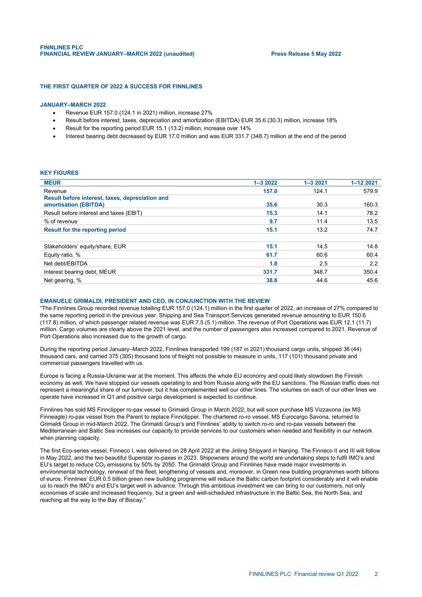## **THE FIRST QUARTER OF 2022 A SUCCESS FOR FINNLINES**

## **JANUARY–MARCH 2022**

- Revenue EUR 157.0 (124.1 in 2021) million, increase 27%
- Result before interest, taxes, depreciation and amortization (EBITDA) EUR 35.6 (30.3) million, increase 18%
- Result for the reporting period EUR 15.1 (13.2) million, increase over 14%
- Interest bearing debt decreased by EUR 17.0 million and was EUR 331.7 (348.7) million at the end of the period

#### **KEY FIGURES**

| <b>MEUR</b>                                                              | $1 - 32022$ | $1 - 32021$ | 1-12 2021 |
|--------------------------------------------------------------------------|-------------|-------------|-----------|
| Revenue                                                                  | 157.0       | 124.1       | 579.9     |
| Result before interest, taxes, depreciation and<br>amortisation (EBITDA) | 35.6        | 30.3        | 160.3     |
| Result before interest and taxes (EBIT)                                  | 15.3        | 14.1        | 78.2      |
| % of revenue                                                             | 9.7         | 11.4        | 13.5      |
| <b>Result for the reporting period</b>                                   | 15.1        | 13.2        | 74.7      |
|                                                                          |             |             |           |
| Stakeholders' equity/share, EUR                                          | 15.1        | 14.5        | 14.8      |
| Equity ratio, %                                                          | 61.7        | 60.6        | 60.4      |
| Net debt/EBITDA                                                          | 1.8         | 2.5         | 2.2       |
| Interest bearing debt, MEUR                                              | 331.7       | 348.7       | 350.4     |
| Net gearing, %                                                           | 38.8        | 44.6        | 45.6      |

## **EMANUELE GRIMALDI, PRESIDENT AND CEO, IN CONJUNCTION WITH THE REVIEW**

"The Finnlines Group recorded revenue totalling EUR 157.0 (124.1) million in the first quarter of 2022, an increase of 27% compared to the same reporting period in the previous year. Shipping and Sea Transport Services generated revenue amounting to EUR 150.6 (117.8) million, of which passenger related revenue was EUR 7.5 (5.1) million. The revenue of Port Operations was EUR 12.1 (11.7) million. Cargo volumes are clearly above the 2021 level, and the number of passengers also increased compared to 2021. Revenue of Port Operations also increased due to the growth of cargo.

During the reporting period January–March 2022, Finnlines transported 199 (187 in 2021) thousand cargo units, shipped 36 (44) thousand cars, and carried 375 (305) thousand tons of freight not possible to measure in units, 117 (101) thousand private and commercial passengers travelled with us.

Europe is facing a Russia-Ukraine war at the moment. This affects the whole EU economy and could likely slowdown the Finnish economy as well. We have stopped our vessels operating to and from Russia along with the EU sanctions. The Russian traffic does not represent a meaningful share of our turnover, but it has complemented well our other lines. The volumes on each of our other lines we operate have increased in Q1 and positive cargo development is expected to continue.

Finnlines has sold MS Finnclipper ro-pax vessel to Grimaldi Group in March 2022, but will soon purchase MS Vizzavona (ex MS Finneagle) ro-pax vessel from the Parent to replace Finnclipper. The chartered ro-ro vessel, MS Eurocargo Savona, returned to Grimaldi Group in mid-March 2022. The Grimaldi Group's and Finnlines' ability to switch ro-ro and ro-pax vessels between the Mediterranean and Baltic Sea increases our capacity to provide services to our customers when needed and flexibility in our network when planning capacity.

The first Eco-series vessel, Finneco I, was delivered on 28 April 2022 at the Jinling Shipyard in Nanjing. The Finneco II and III will follow in May 2022, and the two beautiful Superstar ro-paxes in 2023. Shipowners around the world are undertaking steps to fulfil IMO's and EU's target to reduce CO<sub>2</sub> emissions by 50% by 2050. The Grimaldi Group and Finnlines have made major investments in environmental technology, renewal of the fleet, lengthening of vessels and, moreover, in Green new building programmes worth billions of euros. Finnlines' EUR 0.5 billion green new building programme will reduce the Baltic carbon footprint considerably and it will enable us to reach the IMO's and EU's target well in advance. Through this ambitious investment we can bring to our customers, not only economies of scale and increased frequency, but a green and well-scheduled infrastructure in the Baltic Sea, the North Sea, and reaching all the way to the Bay of Biscay."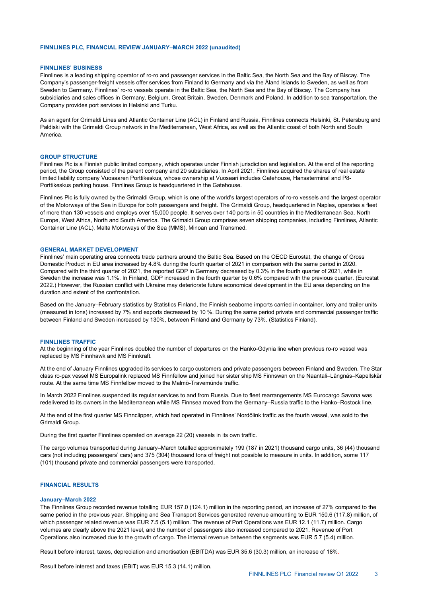#### **FINNLINES PLC, FINANCIAL REVIEW JANUARY–MARCH 2022 (unaudited)**

#### **FINNLINES' BUSINESS**

Finnlines is a leading shipping operator of ro-ro and passenger services in the Baltic Sea, the North Sea and the Bay of Biscay. The Company's passenger-freight vessels offer services from Finland to Germany and via the Åland Islands to Sweden, as well as from Sweden to Germany. Finnlines' ro-ro vessels operate in the Baltic Sea, the North Sea and the Bay of Biscay. The Company has subsidiaries and sales offices in Germany, Belgium, Great Britain, Sweden, Denmark and Poland. In addition to sea transportation, the Company provides port services in Helsinki and Turku.

As an agent for Grimaldi Lines and Atlantic Container Line (ACL) in Finland and Russia, Finnlines connects Helsinki, St. Petersburg and Paldiski with the Grimaldi Group network in the Mediterranean, West Africa, as well as the Atlantic coast of both North and South America.

#### **GROUP STRUCTURE**

Finnlines Plc is a Finnish public limited company, which operates under Finnish jurisdiction and legislation. At the end of the reporting period, the Group consisted of the parent company and 20 subsidiaries. In April 2021, Finnlines acquired the shares of real estate limited liability company Vuosaaren Porttikeskus, whose ownership at Vuosaari includes Gatehouse, Hansaterminal and P8- Porttikeskus parking house. Finnlines Group is headquartered in the Gatehouse.

Finnlines Plc is fully owned by the Grimaldi Group, which is one of the world's largest operators of ro-ro vessels and the largest operator of the Motorways of the Sea in Europe for both passengers and freight. The Grimaldi Group, headquartered in Naples, operates a fleet of more than 130 vessels and employs over 15,000 people. It serves over 140 ports in 50 countries in the Mediterranean Sea, North Europe, West Africa, North and South America. The Grimaldi Group comprises seven shipping companies, including Finnlines, Atlantic Container Line (ACL), Malta Motorways of the Sea (MMS), Minoan and Transmed.

#### **GENERAL MARKET DEVELOPMENT**

Finnlines' main operating area connects trade partners around the Baltic Sea. Based on the OECD Eurostat, the change of Gross Domestic Product in EU area increased by 4.8% during the fourth quarter of 2021 in comparison with the same period in 2020. Compared with the third quarter of 2021, the reported GDP in Germany decreased by 0.3% in the fourth quarter of 2021, while in Sweden the increase was 1.1%. In Finland, GDP increased in the fourth quarter by 0.6% compared with the previous quarter. (Eurostat 2022.) However, the Russian conflict with Ukraine may deteriorate future economical development in the EU area depending on the duration and extent of the confrontation.

Based on the January–February statistics by Statistics Finland, the Finnish seaborne imports carried in container, lorry and trailer units (measured in tons) increased by 7% and exports decreased by 10 %. During the same period private and commercial passenger traffic between Finland and Sweden increased by 130%, between Finland and Germany by 73%. (Statistics Finland).

#### **FINNLINES TRAFFIC**

At the beginning of the year Finnlines doubled the number of departures on the Hanko-Gdynia line when previous ro-ro vessel was replaced by MS Finnhawk and MS Finnkraft.

At the end of January Finnlines upgraded its services to cargo customers and private passengers between Finland and Sweden. The Star class ro-pax vessel MS Europalink replaced MS Finnfellow and joined her sister ship MS Finnswan on the Naantali–Långnäs–Kapellskär route. At the same time MS Finnfellow moved to the Malmö-Travemünde traffic.

In March 2022 Finnlines suspended its regular services to and from Russia. Due to fleet rearrangements MS Eurocargo Savona was redelivered to its owners in the Mediterranean while MS Finnsea moved from the Germany–Russia traffic to the Hanko–Rostock line.

At the end of the first quarter MS Finnclipper, which had operated in Finnlines' Nordölink traffic as the fourth vessel, was sold to the Grimaldi Group.

During the first quarter Finnlines operated on average 22 (20) vessels in its own traffic.

The cargo volumes transported during January–March totalled approximately 199 (187 in 2021) thousand cargo units, 36 (44) thousand cars (not including passengers' cars) and 375 (304) thousand tons of freight not possible to measure in units. In addition, some 117 (101) thousand private and commercial passengers were transported.

# **FINANCIAL RESULTS**

#### **January–March 2022**

The Finnlines Group recorded revenue totalling EUR 157.0 (124.1) million in the reporting period, an increase of 27% compared to the same period in the previous year. Shipping and Sea Transport Services generated revenue amounting to EUR 150.6 (117.8) million, of which passenger related revenue was EUR 7.5 (5.1) million. The revenue of Port Operations was EUR 12.1 (11.7) million. Cargo volumes are clearly above the 2021 level, and the number of passengers also increased compared to 2021. Revenue of Port Operations also increased due to the growth of cargo. The internal revenue between the segments was EUR 5.7 (5.4) million.

Result before interest, taxes, depreciation and amortisation (EBITDA) was EUR 35.6 (30.3) million, an increase of 18%.

Result before interest and taxes (EBIT) was EUR 15.3 (14.1) million.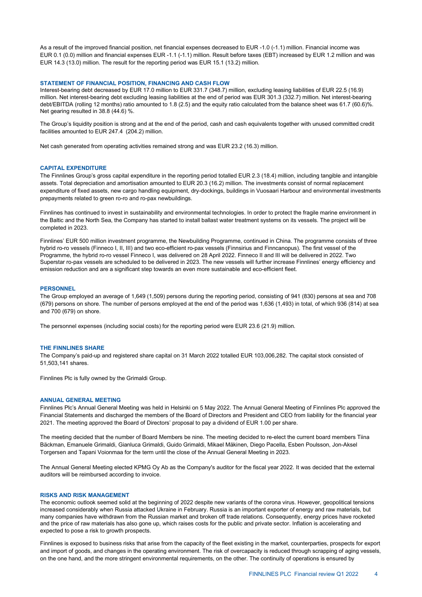As a result of the improved financial position, net financial expenses decreased to EUR -1.0 (-1.1) million. Financial income was EUR 0.1 (0.0) million and financial expenses EUR -1.1 (-1.1) million. Result before taxes (EBT) increased by EUR 1.2 million and was EUR 14.3 (13.0) million. The result for the reporting period was EUR 15.1 (13.2) million.

#### **STATEMENT OF FINANCIAL POSITION, FINANCING AND CASH FLOW**

Interest-bearing debt decreased by EUR 17.0 million to EUR 331.7 (348.7) million, excluding leasing liabilities of EUR 22.5 (16.9) million. Net interest-bearing debt excluding leasing liabilities at the end of period was EUR 301.3 (332.7) million. Net interest-bearing debt/EBITDA (rolling 12 months) ratio amounted to 1.8 (2.5) and the equity ratio calculated from the balance sheet was 61.7 (60.6)%. Net gearing resulted in 38.8 (44.6) %.

The Group's liquidity position is strong and at the end of the period, cash and cash equivalents together with unused committed credit facilities amounted to EUR 247.4 (204.2) million.

Net cash generated from operating activities remained strong and was EUR 23.2 (16.3) million.

# **CAPITAL EXPENDITURE**

The Finnlines Group's gross capital expenditure in the reporting period totalled EUR 2.3 (18.4) million, including tangible and intangible assets. Total depreciation and amortisation amounted to EUR 20.3 (16.2) million. The investments consist of normal replacement expenditure of fixed assets, new cargo handling equipment, dry-dockings, buildings in Vuosaari Harbour and environmental investments prepayments related to green ro-ro and ro-pax newbuildings.

Finnlines has continued to invest in sustainability and environmental technologies. In order to protect the fragile marine environment in the Baltic and the North Sea, the Company has started to install ballast water treatment systems on its vessels. The project will be completed in 2023.

Finnlines' EUR 500 million investment programme, the Newbuilding Programme, continued in China. The programme consists of three hybrid ro-ro vessels (Finneco I, II, III) and two eco-efficient ro-pax vessels (Finnsirius and Finncanopus). The first vessel of the Programme, the hybrid ro-ro vessel Finneco I, was delivered on 28 April 2022. Finneco II and III will be delivered in 2022. Two Superstar ro-pax vessels are scheduled to be delivered in 2023. The new vessels will further increase Finnlines' energy efficiency and emission reduction and are a significant step towards an even more sustainable and eco-efficient fleet.

#### **PERSONNEL**

The Group employed an average of 1,649 (1,509) persons during the reporting period, consisting of 941 (830) persons at sea and 708 (679) persons on shore. The number of persons employed at the end of the period was 1,636 (1,493) in total, of which 936 (814) at sea and 700 (679) on shore.

The personnel expenses (including social costs) for the reporting period were EUR 23.6 (21.9) million.

## **THE FINNLINES SHARE**

The Company's paid-up and registered share capital on 31 March 2022 totalled EUR 103,006,282. The capital stock consisted of 51,503,141 shares.

Finnlines Plc is fully owned by the Grimaldi Group.

## **ANNUAL GENERAL MEETING**

Finnlines Plc's Annual General Meeting was held in Helsinki on 5 May 2022. The Annual General Meeting of Finnlines Plc approved the Financial Statements and discharged the members of the Board of Directors and President and CEO from liability for the financial year 2021. The meeting approved the Board of Directors' proposal to pay a dividend of EUR 1.00 per share.

The meeting decided that the number of Board Members be nine. The meeting decided to re-elect the current board members Tiina Bäckman, Emanuele Grimaldi, Gianluca Grimaldi, Guido Grimaldi, Mikael Mäkinen, Diego Pacella, Esben Poulsson, Jon-Aksel Torgersen and Tapani Voionmaa for the term until the close of the Annual General Meeting in 2023.

The Annual General Meeting elected KPMG Oy Ab as the Company's auditor for the fiscal year 2022. It was decided that the external auditors will be reimbursed according to invoice.

### **RISKS AND RISK MANAGEMENT**

The economic outlook seemed solid at the beginning of 2022 despite new variants of the corona virus. However, geopolitical tensions increased considerably when Russia attacked Ukraine in February. Russia is an important exporter of energy and raw materials, but many companies have withdrawn from the Russian market and broken off trade relations. Consequently, energy prices have rocketed and the price of raw materials has also gone up, which raises costs for the public and private sector. Inflation is accelerating and expected to pose a risk to growth prospects.

Finnlines is exposed to business risks that arise from the capacity of the fleet existing in the market, counterparties, prospects for export and import of goods, and changes in the operating environment. The risk of overcapacity is reduced through scrapping of aging vessels, on the one hand, and the more stringent environmental requirements, on the other. The continuity of operations is ensured by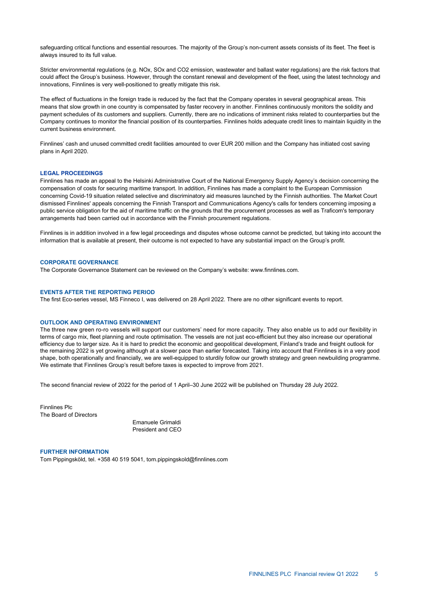safeguarding critical functions and essential resources. The majority of the Group's non-current assets consists of its fleet. The fleet is always insured to its full value.

Stricter environmental regulations (e.g. NOx, SOx and CO2 emission, wastewater and ballast water regulations) are the risk factors that could affect the Group's business. However, through the constant renewal and development of the fleet, using the latest technology and innovations, Finnlines is very well-positioned to greatly mitigate this risk.

The effect of fluctuations in the foreign trade is reduced by the fact that the Company operates in several geographical areas. This means that slow growth in one country is compensated by faster recovery in another. Finnlines continuously monitors the solidity and payment schedules of its customers and suppliers. Currently, there are no indications of imminent risks related to counterparties but the Company continues to monitor the financial position of its counterparties. Finnlines holds adequate credit lines to maintain liquidity in the current business environment.

Finnlines' cash and unused committed credit facilities amounted to over EUR 200 million and the Company has initiated cost saving plans in April 2020.

#### **LEGAL PROCEEDINGS**

Finnlines has made an appeal to the Helsinki Administrative Court of the National Emergency Supply Agency's decision concerning the compensation of costs for securing maritime transport. In addition, Finnlines has made a complaint to the European Commission concerning Covid-19 situation related selective and discriminatory aid measures launched by the Finnish authorities. The Market Court dismissed Finnlines' appeals concerning the Finnish Transport and Communications Agency's calls for tenders concerning imposing a public service obligation for the aid of maritime traffic on the grounds that the procurement processes as well as Traficom's temporary arrangements had been carried out in accordance with the Finnish procurement regulations.

Finnlines is in addition involved in a few legal proceedings and disputes whose outcome cannot be predicted, but taking into account the information that is available at present, their outcome is not expected to have any substantial impact on the Group's profit.

#### **CORPORATE GOVERNANCE**

The Corporate Governance Statement can be reviewed on the Company's website: www.finnlines.com.

## **EVENTS AFTER THE REPORTING PERIOD**

The first Eco-series vessel, MS Finneco I, was delivered on 28 April 2022. There are no other significant events to report.

#### **OUTLOOK AND OPERATING ENVIRONMENT**

The three new green ro-ro vessels will support our customers' need for more capacity. They also enable us to add our flexibility in terms of cargo mix, fleet planning and route optimisation. The vessels are not just eco-efficient but they also increase our operational efficiency due to larger size. As it is hard to predict the economic and geopolitical development, Finland's trade and freight outlook for the remaining 2022 is yet growing although at a slower pace than earlier forecasted. Taking into account that Finnlines is in a very good shape, both operationally and financially, we are well-equipped to sturdily follow our growth strategy and green newbuilding programme. We estimate that Finnlines Group's result before taxes is expected to improve from 2021.

The second financial review of 2022 for the period of 1 April–30 June 2022 will be published on Thursday 28 July 2022.

Finnlines Plc The Board of Directors

> Emanuele Grimaldi President and CEO

#### **FURTHER INFORMATION**

Tom Pippingsköld, tel. +358 40 519 5041, tom.pippingskold@finnlines.com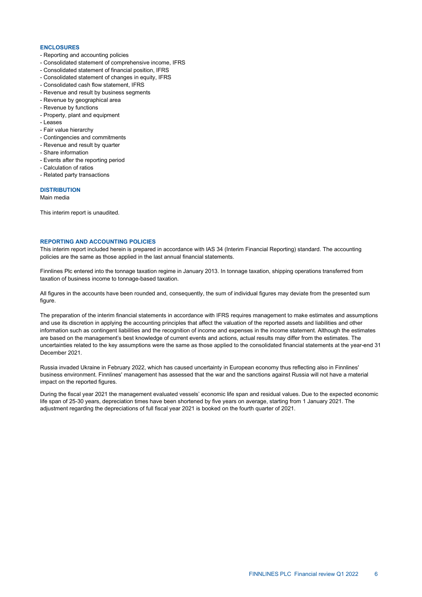#### **ENCLOSURES**

- Reporting and accounting policies
- Consolidated statement of comprehensive income, IFRS
- Consolidated statement of financial position, IFRS
- Consolidated statement of changes in equity, IFRS
- Consolidated cash flow statement, IFRS
- Revenue and result by business segments
- Revenue by geographical area
- Revenue by functions
- Property, plant and equipment
- Leases
- Fair value hierarchy
- Contingencies and commitments
- Revenue and result by quarter
- Share information
- Events after the reporting period
- Calculation of ratios
- Related party transactions

## **DISTRIBUTION**

Main media

This interim report is unaudited.

## **REPORTING AND ACCOUNTING POLICIES**

This interim report included herein is prepared in accordance with IAS 34 (Interim Financial Reporting) standard. The accounting policies are the same as those applied in the last annual financial statements.

Finnlines Plc entered into the tonnage taxation regime in January 2013. In tonnage taxation, shipping operations transferred from taxation of business income to tonnage-based taxation.

All figures in the accounts have been rounded and, consequently, the sum of individual figures may deviate from the presented sum figure.

The preparation of the interim financial statements in accordance with IFRS requires management to make estimates and assumptions and use its discretion in applying the accounting principles that affect the valuation of the reported assets and liabilities and other information such as contingent liabilities and the recognition of income and expenses in the income statement. Although the estimates are based on the management's best knowledge of current events and actions, actual results may differ from the estimates. The uncertainties related to the key assumptions were the same as those applied to the consolidated financial statements at the year-end 31 December 2021.

Russia invaded Ukraine in February 2022, which has caused uncertainty in European economy thus reflecting also in Finnlines' business environment. Finnlines' management has assessed that the war and the sanctions against Russia will not have a material impact on the reported figures.

During the fiscal year 2021 the management evaluated vessels' economic life span and residual values. Due to the expected economic life span of 25-30 years, depreciation times have been shortened by five years on average, starting from 1 January 2021. The adjustment regarding the depreciations of full fiscal year 2021 is booked on the fourth quarter of 2021.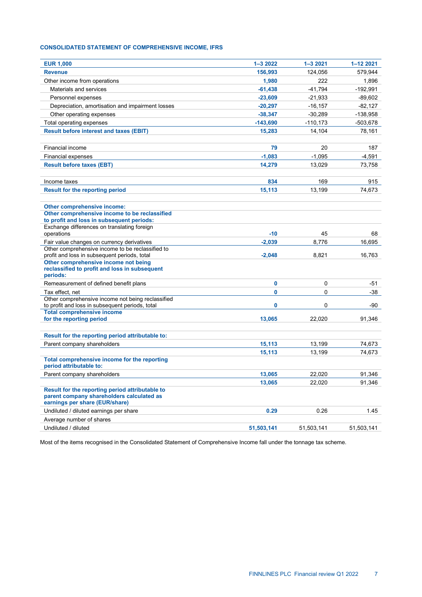# **CONSOLIDATED STATEMENT OF COMPREHENSIVE INCOME, IFRS**

| <b>EUR 1,000</b>                                                                             | $1 - 32022$ | $1 - 32021$ | 1-12 2021  |
|----------------------------------------------------------------------------------------------|-------------|-------------|------------|
| <b>Revenue</b>                                                                               | 156,993     | 124,056     | 579,944    |
| Other income from operations                                                                 | 1,980       | 222         | 1,896      |
| Materials and services                                                                       | $-61,438$   | $-41,794$   | $-192,991$ |
| Personnel expenses                                                                           | $-23,609$   | $-21,933$   | $-89,602$  |
| Depreciation, amortisation and impairment losses                                             | $-20,297$   | $-16, 157$  | $-82,127$  |
| Other operating expenses                                                                     | $-38,347$   | $-30,289$   | $-138,958$ |
| Total operating expenses                                                                     | $-143,690$  | $-110, 173$ | $-503,678$ |
| <b>Result before interest and taxes (EBIT)</b>                                               | 15,283      | 14,104      | 78,161     |
|                                                                                              |             |             |            |
| Financial income                                                                             | 79          | 20          | 187        |
| Financial expenses                                                                           | $-1,083$    | $-1,095$    | $-4,591$   |
| <b>Result before taxes (EBT)</b>                                                             | 14,279      | 13,029      | 73,758     |
|                                                                                              |             |             |            |
| Income taxes                                                                                 | 834         | 169         | 915        |
| <b>Result for the reporting period</b>                                                       | 15,113      | 13,199      | 74,673     |
|                                                                                              |             |             |            |
| Other comprehensive income:                                                                  |             |             |            |
| Other comprehensive income to be reclassified                                                |             |             |            |
| to profit and loss in subsequent periods:<br>Exchange differences on translating foreign     |             |             |            |
| operations                                                                                   | $-10$       | 45          | 68         |
| Fair value changes on currency derivatives                                                   | $-2,039$    | 8,776       | 16,695     |
| Other comprehensive income to be reclassified to                                             |             |             |            |
| profit and loss in subsequent periods, total                                                 | $-2,048$    | 8,821       | 16,763     |
| Other comprehensive income not being<br>reclassified to profit and loss in subsequent        |             |             |            |
| periods:                                                                                     |             |             |            |
| Remeasurement of defined benefit plans                                                       | 0           | $\mathbf 0$ | -51        |
| Tax effect, net                                                                              | 0           | $\Omega$    | -38        |
| Other comprehensive income not being reclassified                                            |             |             |            |
| to profit and loss in subsequent periods, total                                              | 0           | 0           | -90        |
| <b>Total comprehensive income</b><br>for the reporting period                                | 13,065      | 22,020      | 91,346     |
|                                                                                              |             |             |            |
| Result for the reporting period attributable to:                                             |             |             |            |
| Parent company shareholders                                                                  | 15,113      | 13,199      | 74,673     |
|                                                                                              | 15.113      | 13.199      | 74,673     |
| Total comprehensive income for the reporting                                                 |             |             |            |
| period attributable to:                                                                      |             |             |            |
| Parent company shareholders                                                                  | 13,065      | 22,020      | 91,346     |
|                                                                                              | 13,065      | 22,020      | 91,346     |
| Result for the reporting period attributable to<br>parent company shareholders calculated as |             |             |            |
| earnings per share (EUR/share)                                                               |             |             |            |
| Undiluted / diluted earnings per share                                                       | 0.29        | 0.26        | 1.45       |
| Average number of shares                                                                     |             |             |            |
| Undiluted / diluted                                                                          | 51,503,141  | 51,503,141  | 51,503,141 |

Most of the items recognised in the Consolidated Statement of Comprehensive Income fall under the tonnage tax scheme.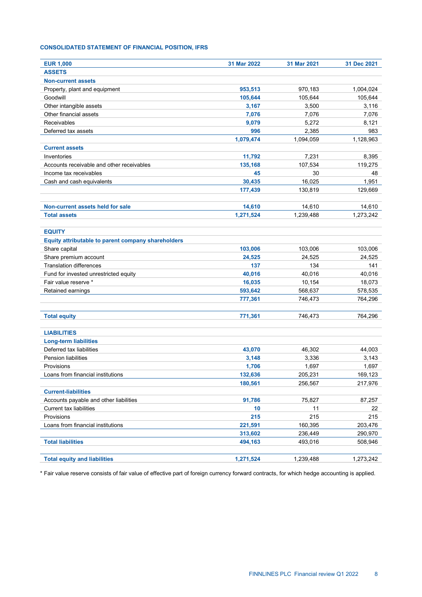# **CONSOLIDATED STATEMENT OF FINANCIAL POSITION, IFRS**

| <b>EUR 1,000</b>                                   | 31 Mar 2022 | 31 Mar 2021 | 31 Dec 2021 |
|----------------------------------------------------|-------------|-------------|-------------|
| <b>ASSETS</b>                                      |             |             |             |
| <b>Non-current assets</b>                          |             |             |             |
| Property, plant and equipment                      | 953,513     | 970,183     | 1,004,024   |
| Goodwill                                           | 105,644     | 105,644     | 105,644     |
| Other intangible assets                            | 3,167       | 3,500       | 3,116       |
| Other financial assets                             | 7,076       | 7,076       | 7,076       |
| Receivables                                        | 9,079       | 5,272       | 8,121       |
| Deferred tax assets                                | 996         | 2,385       | 983         |
|                                                    | 1,079,474   | 1,094,059   | 1,128,963   |
| <b>Current assets</b>                              |             |             |             |
| Inventories                                        | 11,792      | 7,231       | 8,395       |
| Accounts receivable and other receivables          | 135,168     | 107,534     | 119,275     |
| Income tax receivables                             | 45          | 30          | 48          |
| Cash and cash equivalents                          | 30,435      | 16,025      | 1,951       |
|                                                    | 177,439     | 130,819     | 129,669     |
|                                                    |             |             |             |
| Non-current assets held for sale                   | 14,610      | 14,610      | 14,610      |
| <b>Total assets</b>                                | 1,271,524   | 1,239,488   | 1,273,242   |
|                                                    |             |             |             |
| <b>EQUITY</b>                                      |             |             |             |
| Equity attributable to parent company shareholders |             |             |             |
| Share capital                                      | 103,006     | 103,006     | 103,006     |
| Share premium account                              | 24,525      | 24,525      | 24,525      |
| <b>Translation differences</b>                     | 137         | 134         | 141         |
| Fund for invested unrestricted equity              | 40,016      | 40,016      | 40,016      |
| Fair value reserve *                               | 16,035      | 10,154      | 18,073      |
| Retained earnings                                  | 593,642     | 568,637     | 578,535     |
|                                                    | 777,361     | 746,473     | 764,296     |
|                                                    |             |             |             |
| <b>Total equity</b>                                | 771,361     | 746,473     | 764,296     |
| <b>LIABILITIES</b>                                 |             |             |             |
| <b>Long-term liabilities</b>                       |             |             |             |
| Deferred tax liabilities                           | 43,070      | 46,302      | 44,003      |
| Pension liabilities                                | 3,148       | 3,336       | 3,143       |
| Provisions                                         | 1,706       | 1,697       | 1,697       |
| Loans from financial institutions                  | 132,636     | 205,231     | 169,123     |
|                                                    | 180,561     | 256,567     | 217,976     |
| <b>Current-liabilities</b>                         |             |             |             |
| Accounts payable and other liabilities             | 91,786      | 75,827      | 87,257      |
| Current tax liabilities                            | 10          | 11          | 22          |
| Provisions                                         | 215         | 215         | 215         |
| Loans from financial institutions                  | 221,591     | 160,395     | 203,476     |
|                                                    | 313,602     | 236,449     | 290,970     |
| <b>Total liabilities</b>                           | 494,163     | 493,016     | 508,946     |
|                                                    |             |             |             |
| <b>Total equity and liabilities</b>                | 1,271,524   | 1,239,488   | 1,273,242   |

\* Fair value reserve consists of fair value of effective part of foreign currency forward contracts, for which hedge accounting is applied.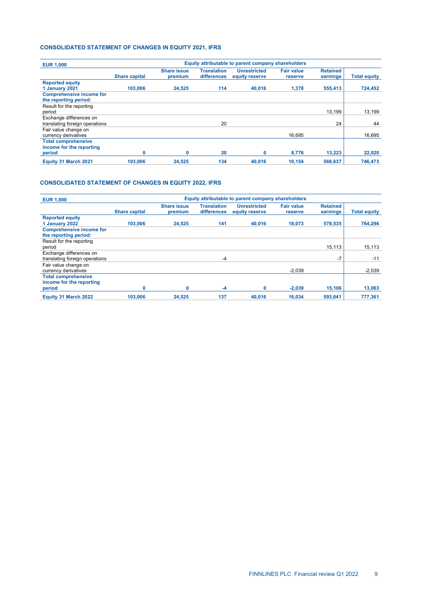# **CONSOLIDATED STATEMENT OF CHANGES IN EQUITY 2021, IFRS**

| Equity attributable to parent company shareholders |                               |                                   |                                       |                              |                             |                     |
|----------------------------------------------------|-------------------------------|-----------------------------------|---------------------------------------|------------------------------|-----------------------------|---------------------|
| <b>Share capital</b>                               | <b>Share issue</b><br>premium | <b>Translation</b><br>differences | <b>Unrestricted</b><br>equity reserve | <b>Fair value</b><br>reserve | <b>Retained</b><br>earnings | <b>Total equity</b> |
| 103,006                                            | 24.525                        | 114                               | 40.016                                | 1.378                        | 555,413                     | 724.452             |
|                                                    |                               |                                   |                                       |                              |                             |                     |
|                                                    |                               |                                   |                                       |                              | 13.199                      | 13.199              |
|                                                    |                               | 20                                |                                       |                              | 24                          | 44                  |
|                                                    |                               |                                   |                                       | 16.695                       |                             | 16,695              |
|                                                    |                               |                                   |                                       |                              |                             |                     |
|                                                    |                               |                                   |                                       |                              |                             | 22,020<br>746.473   |
|                                                    | $\mathbf{0}$<br>103,006       | $\mathbf{0}$<br>24.525            | 20<br>134                             | 40.016                       | 8.776<br>10.154             | 13,223<br>568,637   |

# **CONSOLIDATED STATEMENT OF CHANGES IN EQUITY 2022, IFRS**

| <b>EUR 1,000</b>                             | Equity attributable to parent company shareholders |                               |                                   |                                       |                              |                             |                     |
|----------------------------------------------|----------------------------------------------------|-------------------------------|-----------------------------------|---------------------------------------|------------------------------|-----------------------------|---------------------|
|                                              | <b>Share capital</b>                               | <b>Share issue</b><br>premium | <b>Translation</b><br>differences | <b>Unrestricted</b><br>equity reserve | <b>Fair value</b><br>reserve | <b>Retained</b><br>earnings | <b>Total equity</b> |
| <b>Reported equity</b>                       |                                                    |                               |                                   |                                       |                              |                             |                     |
| 1 January 2022                               | 103.006                                            | 24.525                        | 141                               | 40.016                                | 18.073                       | 578,535                     | 764.296             |
| <b>Comprehensive income for</b>              |                                                    |                               |                                   |                                       |                              |                             |                     |
| the reporting period:                        |                                                    |                               |                                   |                                       |                              |                             |                     |
| Result for the reporting<br>period           |                                                    |                               |                                   |                                       |                              | 15,113                      | 15,113              |
| Exchange differences on                      |                                                    |                               |                                   |                                       |                              |                             |                     |
| translating foreign operations               |                                                    |                               | $-4$                              |                                       |                              | $-7$                        | $-11$               |
| Fair value change on<br>currency derivatives |                                                    |                               |                                   |                                       | $-2.039$                     |                             | $-2,039$            |
| <b>Total comprehensive</b>                   |                                                    |                               |                                   |                                       |                              |                             |                     |
| income for the reporting<br>period           | $\mathbf 0$                                        | 0                             | $-4$                              | 0                                     | $-2,039$                     | 15,106                      | 13,063              |
| Equity 31 March 2022                         | 103,006                                            | 24.525                        | 137                               | 40.016                                | 16.034                       | 593.641                     | 777.361             |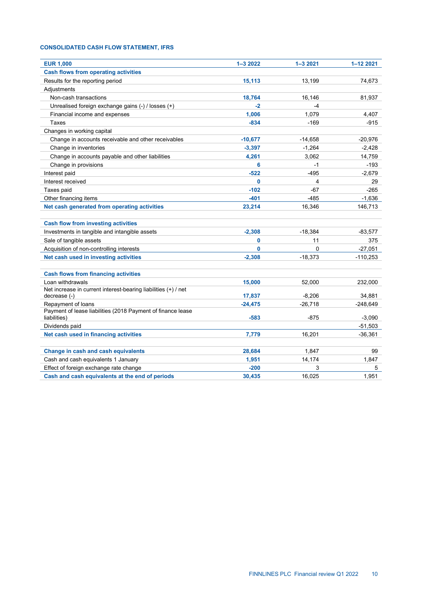# **CONSOLIDATED CASH FLOW STATEMENT, IFRS**

| <b>EUR 1,000</b>                                                                  | $1 - 32022$ | $1 - 32021$ | 1-12 2021  |
|-----------------------------------------------------------------------------------|-------------|-------------|------------|
| <b>Cash flows from operating activities</b>                                       |             |             |            |
| Results for the reporting period                                                  | 15,113      | 13,199      | 74,673     |
| Adiustments                                                                       |             |             |            |
| Non-cash transactions                                                             | 18,764      | 16,146      | 81,937     |
| Unrealised foreign exchange gains (-) / losses (+)                                | $-2$        | $-4$        |            |
| Financial income and expenses                                                     | 1,006       | 1,079       | 4,407      |
| Taxes                                                                             | $-834$      | $-169$      | $-915$     |
| Changes in working capital                                                        |             |             |            |
| Change in accounts receivable and other receivables                               | $-10,677$   | $-14,658$   | $-20,976$  |
| Change in inventories                                                             | $-3,397$    | $-1,264$    | $-2,428$   |
| Change in accounts payable and other liabilities                                  | 4,261       | 3,062       | 14,759     |
| Change in provisions                                                              | 6           | $-1$        | $-193$     |
| Interest paid                                                                     | $-522$      | $-495$      | $-2,679$   |
| Interest received                                                                 | $\bf{0}$    | 4           | 29         |
| Taxes paid                                                                        | $-102$      | $-67$       | $-265$     |
| Other financing items                                                             | $-401$      | $-485$      | $-1,636$   |
| Net cash generated from operating activities                                      | 23,214      | 16,346      | 146,713    |
|                                                                                   |             |             |            |
| <b>Cash flow from investing activities</b>                                        |             |             |            |
| Investments in tangible and intangible assets                                     | $-2,308$    | $-18,384$   | $-83,577$  |
| Sale of tangible assets                                                           | 0           | 11          | 375        |
| Acquisition of non-controlling interests                                          | 0           | $\mathbf 0$ | $-27,051$  |
| Net cash used in investing activities                                             | $-2,308$    | $-18,373$   | $-110,253$ |
|                                                                                   |             |             |            |
| <b>Cash flows from financing activities</b>                                       |             |             |            |
| Loan withdrawals                                                                  | 15,000      | 52.000      | 232,000    |
| Net increase in current interest-bearing liabilities (+) / net                    |             |             |            |
| decrease (-)                                                                      | 17,837      | $-8,206$    | 34,881     |
| Repayment of loans<br>Payment of lease liabilities (2018 Payment of finance lease | $-24,475$   | $-26,718$   | $-248,649$ |
| liabilities)                                                                      | $-583$      | $-875$      | $-3,090$   |
| Dividends paid                                                                    |             |             | $-51,503$  |
| Net cash used in financing activities                                             | 7,779       | 16,201      | $-36,361$  |
|                                                                                   |             |             |            |
| Change in cash and cash equivalents                                               | 28,684      | 1,847       | 99         |
| Cash and cash equivalents 1 January                                               | 1,951       | 14,174      | 1,847      |
| Effect of foreign exchange rate change                                            | $-200$      | 3           | 5          |
| Cash and cash equivalents at the end of periods                                   | 30,435      | 16,025      | 1,951      |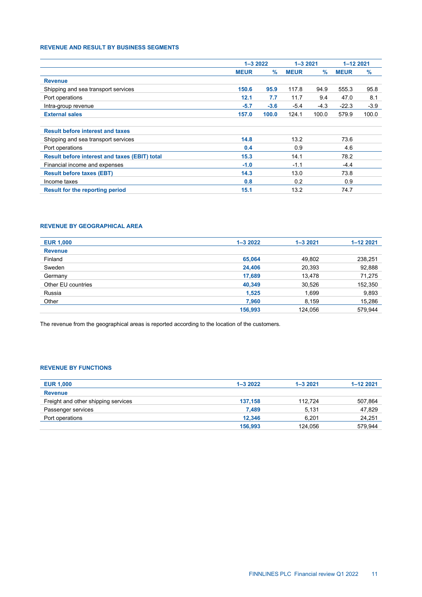# **REVENUE AND RESULT BY BUSINESS SEGMENTS**

|                                                      | $1 - 32022$ |        | $1 - 32021$ |        | $1 - 122021$ |        |
|------------------------------------------------------|-------------|--------|-------------|--------|--------------|--------|
|                                                      | <b>MEUR</b> | $\%$   | <b>MEUR</b> | $\%$   | <b>MEUR</b>  | $\%$   |
| <b>Revenue</b>                                       |             |        |             |        |              |        |
| Shipping and sea transport services                  | 150.6       | 95.9   | 117.8       | 94.9   | 555.3        | 95.8   |
| Port operations                                      | 12.1        | 7.7    | 11.7        | 9.4    | 47.0         | 8.1    |
| Intra-group revenue                                  | $-5.7$      | $-3.6$ | $-5.4$      | $-4.3$ | $-22.3$      | $-3.9$ |
| <b>External sales</b>                                | 157.0       | 100.0  | 124.1       | 100.0  | 579.9        | 100.0  |
| <b>Result before interest and taxes</b>              |             |        |             |        |              |        |
| Shipping and sea transport services                  | 14.8        |        | 13.2        |        | 73.6         |        |
| Port operations                                      | 0.4         |        | 0.9         |        | 4.6          |        |
| <b>Result before interest and taxes (EBIT) total</b> | 15.3        |        | 14.1        |        | 78.2         |        |
| Financial income and expenses                        | $-1.0$      |        | $-1.1$      |        | $-4.4$       |        |
| <b>Result before taxes (EBT)</b>                     | 14.3        |        | 13.0        |        | 73.8         |        |
| Income taxes                                         | 0.8         |        | 0.2         |        | 0.9          |        |
| <b>Result for the reporting period</b>               | 15.1        |        | 13.2        |        | 74.7         |        |

# **REVENUE BY GEOGRAPHICAL AREA**

| <b>EUR 1,000</b>   | $1 - 32022$ | $1 - 32021$ | $1 - 122021$ |
|--------------------|-------------|-------------|--------------|
| <b>Revenue</b>     |             |             |              |
| Finland            | 65,064      | 49,802      | 238,251      |
| Sweden             | 24,406      | 20,393      | 92,888       |
| Germany            | 17,689      | 13,478      | 71,275       |
| Other EU countries | 40,349      | 30,526      | 152,350      |
| Russia             | 1,525       | 1,699       | 9,893        |
| Other              | 7,960       | 8,159       | 15,286       |
|                    | 156,993     | 124.056     | 579.944      |

The revenue from the geographical areas is reported according to the location of the customers.

# **REVENUE BY FUNCTIONS**

| <b>EUR 1,000</b>                    | $1 - 32022$ | $1 - 32021$ | $1 - 122021$ |
|-------------------------------------|-------------|-------------|--------------|
| <b>Revenue</b>                      |             |             |              |
| Freight and other shipping services | 137.158     | 112.724     | 507,864      |
| Passenger services                  | 7,489       | 5.131       | 47,829       |
| Port operations                     | 12.346      | 6.201       | 24,251       |
|                                     | 156.993     | 124.056     | 579.944      |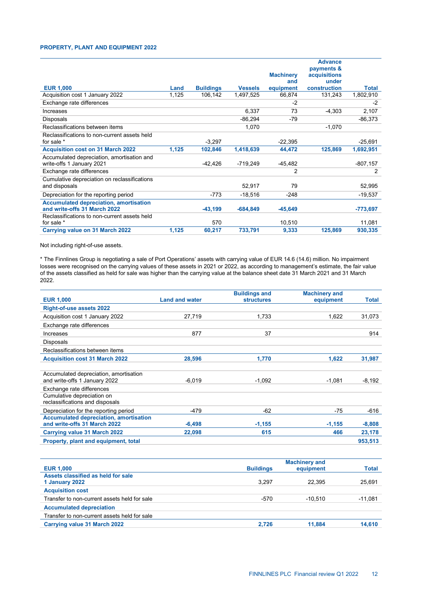## **PROPERTY, PLANT AND EQUIPMENT 2022**

|                                               |       |                  |                |                  | <b>Advance</b>      |              |
|-----------------------------------------------|-------|------------------|----------------|------------------|---------------------|--------------|
|                                               |       |                  |                |                  | payments &          |              |
|                                               |       |                  |                | <b>Machinery</b> | <b>acquisitions</b> |              |
|                                               |       |                  |                | and              | under               |              |
| <b>EUR 1,000</b>                              | Land  | <b>Buildings</b> | <b>Vessels</b> | equipment        | construction        | <b>Total</b> |
| Acquisition cost 1 January 2022               | 1,125 | 106,142          | 1,497,525      | 66,874           | 131,243             | 1,802,910    |
| Exchange rate differences                     |       |                  |                | $-2$             |                     | $-2$         |
| Increases                                     |       |                  | 6,337          | 73               | $-4,303$            | 2,107        |
| Disposals                                     |       |                  | $-86,294$      | -79              |                     | $-86,373$    |
| Reclassifications between items               |       |                  | 1,070          |                  | $-1,070$            |              |
| Reclassifications to non-current assets held  |       |                  |                |                  |                     |              |
| for sale *                                    |       | $-3,297$         |                | $-22,395$        |                     | $-25,691$    |
| <b>Acquisition cost on 31 March 2022</b>      | 1,125 | 102,846          | 1,418,639      | 44,472           | 125,869             | 1,692,951    |
| Accumulated depreciation, amortisation and    |       |                  |                |                  |                     |              |
| write-offs 1 January 2021                     |       | -42,426          | $-719,249$     | $-45,482$        |                     | $-807,157$   |
| Exchange rate differences                     |       |                  |                | 2                |                     | 2            |
| Cumulative depreciation on reclassifications  |       |                  |                |                  |                     |              |
| and disposals                                 |       |                  | 52,917         | 79               |                     | 52,995       |
| Depreciation for the reporting period         |       | $-773$           | $-18,516$      | $-248$           |                     | $-19,537$    |
| <b>Accumulated depreciation, amortisation</b> |       |                  |                |                  |                     |              |
| and write-offs 31 March 2022                  |       | $-43,199$        | $-684,849$     | $-45,649$        |                     | $-773,697$   |
| Reclassifications to non-current assets held  |       |                  |                |                  |                     |              |
| for sale *                                    |       | 570              |                | 10,510           |                     | 11,081       |
| <b>Carrying value on 31 March 2022</b>        | 1,125 | 60,217           | 733,791        | 9,333            | 125,869             | 930,335      |

Not including right-of-use assets.

\* The Finnlines Group is negotiating a sale of Port Operations' assets with carrying value of EUR 14.6 (14.6) million. No impairment losses were recognised on the carrying values of these assets in 2021 or 2022, as according to management's estimate, the fair value of the assets classified as held for sale was higher than the carrying value at the balance sheet date 31 March 2021 and 31 March 2022.

|                                                               |                       | <b>Buildings and</b> | <b>Machinery and</b> |          |
|---------------------------------------------------------------|-----------------------|----------------------|----------------------|----------|
| <b>EUR 1,000</b>                                              | <b>Land and water</b> | <b>structures</b>    | equipment            | Total    |
| <b>Right-of-use assets 2022</b>                               |                       |                      |                      |          |
| Acquisition cost 1 January 2022                               | 27,719                | 1,733                | 1,622                | 31,073   |
| Exchange rate differences                                     |                       |                      |                      |          |
| Increases                                                     | 877                   | 37                   |                      | 914      |
| <b>Disposals</b>                                              |                       |                      |                      |          |
| Reclassifications between items                               |                       |                      |                      |          |
| <b>Acquisition cost 31 March 2022</b>                         | 28,596                | 1.770                | 1.622                | 31,987   |
|                                                               |                       |                      |                      |          |
| Accumulated depreciation, amortisation                        |                       |                      |                      |          |
| and write-offs 1 January 2022                                 | $-6.019$              | $-1.092$             | $-1,081$             | $-8,192$ |
| Exchange rate differences                                     |                       |                      |                      |          |
| Cumulative depreciation on<br>reclassifications and disposals |                       |                      |                      |          |
| Depreciation for the reporting period                         | -479                  | $-62$                | -75                  | $-616$   |
| <b>Accumulated depreciation, amortisation</b>                 |                       |                      |                      |          |
| and write-offs 31 March 2022                                  | $-6,498$              | $-1,155$             | $-1,155$             | $-8,808$ |
| <b>Carrying value 31 March 2022</b>                           | 22,098                | 615                  | 466                  | 23,178   |
| Property, plant and equipment, total                          |                       |                      |                      | 953,513  |

| <b>EUR 1,000</b>                             | <b>Buildings</b> | <b>Machinery and</b><br>equipment | <b>Total</b> |
|----------------------------------------------|------------------|-----------------------------------|--------------|
| Assets classified as held for sale           |                  |                                   |              |
| 1 January 2022                               | 3.297            | 22.395                            | 25,691       |
| <b>Acquisition cost</b>                      |                  |                                   |              |
| Transfer to non-current assets held for sale | $-570$           | $-10.510$                         | $-11,081$    |
| <b>Accumulated depreciation</b>              |                  |                                   |              |
| Transfer to non-current assets held for sale |                  |                                   |              |
| <b>Carrying value 31 March 2022</b>          | 2,726            | 11.884                            | 14,610       |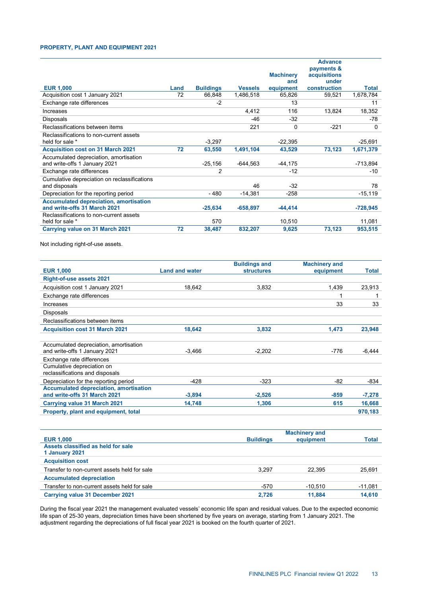# **PROPERTY, PLANT AND EQUIPMENT 2021**

|                                               |      |                  |                |                  | <b>Advance</b> |              |
|-----------------------------------------------|------|------------------|----------------|------------------|----------------|--------------|
|                                               |      |                  |                |                  | payments &     |              |
|                                               |      |                  |                | <b>Machinery</b> | acquisitions   |              |
|                                               |      |                  |                | and              | under          |              |
| <b>EUR 1,000</b>                              | Land | <b>Buildings</b> | <b>Vessels</b> | equipment        | construction   | <b>Total</b> |
| Acquisition cost 1 January 2021               | 72   | 66,848           | 1,486,518      | 65,826           | 59,521         | 1,678,784    |
| Exchange rate differences                     |      | $-2$             |                | 13               |                | 11           |
| Increases                                     |      |                  | 4,412          | 116              | 13,824         | 18,352       |
| <b>Disposals</b>                              |      |                  | -46            | $-32$            |                | -78          |
| Reclassifications between items               |      |                  | 221            | $\Omega$         | $-221$         | 0            |
| Reclassifications to non-current assets       |      |                  |                |                  |                |              |
| held for sale *                               |      | $-3,297$         |                | $-22,395$        |                | $-25,691$    |
| <b>Acquisition cost on 31 March 2021</b>      | 72   | 63,550           | 1,491,104      | 43,529           | 73,123         | 1,671,379    |
| Accumulated depreciation, amortisation        |      |                  |                |                  |                |              |
| and write-offs 1 January 2021                 |      | $-25,156$        | $-644,563$     | $-44,175$        |                | -713,894     |
| Exchange rate differences                     |      | 2                |                | $-12$            |                | -10          |
| Cumulative depreciation on reclassifications  |      |                  |                |                  |                |              |
| and disposals                                 |      |                  | 46             | $-32$            |                | 78           |
| Depreciation for the reporting period         |      | $-480$           | $-14,381$      | $-258$           |                | $-15,119$    |
| <b>Accumulated depreciation, amortisation</b> |      |                  |                |                  |                |              |
| and write-offs 31 March 2021                  |      | $-25,634$        | $-658,897$     | $-44,414$        |                | $-728,945$   |
| Reclassifications to non-current assets       |      |                  |                |                  |                |              |
| held for sale *                               |      | 570              |                | 10,510           |                | 11,081       |
| <b>Carrying value on 31 March 2021</b>        | 72   | 38,487           | 832,207        | 9,625            | 73,123         | 953,515      |

Not including right-of-use assets.

|                                               |                       | <b>Buildings and</b> | <b>Machinery and</b> |          |
|-----------------------------------------------|-----------------------|----------------------|----------------------|----------|
| <b>EUR 1,000</b>                              | <b>Land and water</b> | <b>structures</b>    | equipment            | Total    |
| <b>Right-of-use assets 2021</b>               |                       |                      |                      |          |
| Acquisition cost 1 January 2021               | 18.642                | 3.832                | 1.439                | 23,913   |
| Exchange rate differences                     |                       |                      |                      |          |
| Increases                                     |                       |                      | 33                   | 33       |
| <b>Disposals</b>                              |                       |                      |                      |          |
| Reclassifications between items               |                       |                      |                      |          |
| <b>Acquisition cost 31 March 2021</b>         | 18,642                | 3,832                | 1,473                | 23,948   |
|                                               |                       |                      |                      |          |
| Accumulated depreciation, amortisation        |                       |                      |                      |          |
| and write-offs 1 January 2021                 | $-3.466$              | $-2.202$             | $-776$               | $-6.444$ |
| Exchange rate differences                     |                       |                      |                      |          |
| Cumulative depreciation on                    |                       |                      |                      |          |
| reclassifications and disposals               |                       |                      |                      |          |
| Depreciation for the reporting period         | -428                  | $-323$               | -82                  | -834     |
| <b>Accumulated depreciation, amortisation</b> |                       |                      |                      |          |
| and write-offs 31 March 2021                  | $-3,894$              | $-2,526$             | $-859$               | $-7,278$ |
| <b>Carrying value 31 March 2021</b>           | 14,748                | 1,306                | 615                  | 16,668   |
| Property, plant and equipment, total          |                       |                      |                      | 970,183  |

|                                                      | <b>Machinery and</b> |           |              |
|------------------------------------------------------|----------------------|-----------|--------------|
| <b>EUR 1,000</b>                                     | <b>Buildings</b>     | equipment | <b>Total</b> |
| Assets classified as held for sale<br>1 January 2021 |                      |           |              |
| <b>Acquisition cost</b>                              |                      |           |              |
| Transfer to non-current assets held for sale         | 3.297                | 22.395    | 25.691       |
| <b>Accumulated depreciation</b>                      |                      |           |              |
| Transfer to non-current assets held for sale         | $-570$               | $-10.510$ | $-11,081$    |
| <b>Carrying value 31 December 2021</b>               | 2.726                | 11.884    | 14,610       |

During the fiscal year 2021 the management evaluated vessels' economic life span and residual values. Due to the expected economic life span of 25-30 years, depreciation times have been shortened by five years on average, starting from 1 January 2021. The adjustment regarding the depreciations of full fiscal year 2021 is booked on the fourth quarter of 2021.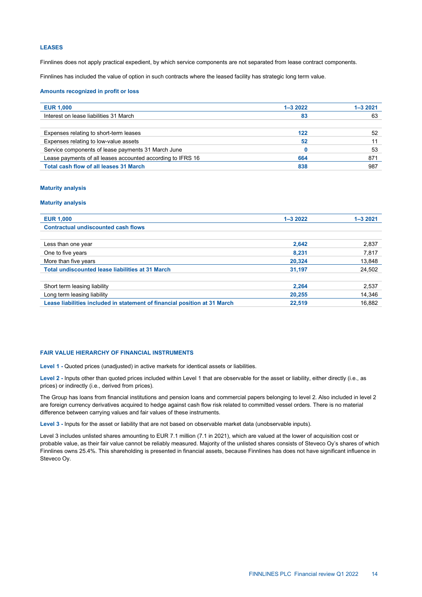## **LEASES**

Finnlines does not apply practical expedient, by which service components are not separated from lease contract components.

Finnlines has included the value of option in such contracts where the leased facility has strategic long term value.

#### **Amounts recognized in profit or loss**

| <b>EUR 1,000</b>                                            | $1 - 32022$ | $1 - 32021$ |
|-------------------------------------------------------------|-------------|-------------|
| Interest on lease liabilities 31 March                      | 83          | 63          |
|                                                             |             |             |
| Expenses relating to short-term leases                      | 122         | 52          |
| Expenses relating to low-value assets                       | 52          |             |
| Service components of lease payments 31 March June          |             | 53          |
| Lease payments of all leases accounted according to IFRS 16 | 664         | 871         |
| <b>Total cash flow of all leases 31 March</b>               | 838         | 987         |

## **Maturity analysis**

## **Maturity analysis**

| <b>EUR 1,000</b>                                                          | $1 - 32022$ | $1 - 32021$ |
|---------------------------------------------------------------------------|-------------|-------------|
| <b>Contractual undiscounted cash flows</b>                                |             |             |
|                                                                           |             |             |
| Less than one year                                                        | 2,642       | 2,837       |
| One to five years                                                         | 8.231       | 7,817       |
| More than five years                                                      | 20,324      | 13,848      |
| <b>Total undiscounted lease liabilities at 31 March</b>                   | 31,197      | 24,502      |
|                                                                           |             |             |
| Short term leasing liability                                              | 2.264       | 2,537       |
| Long term leasing liability                                               | 20,255      | 14,346      |
| Lease liabilities included in statement of financial position at 31 March | 22,519      | 16,882      |

## **FAIR VALUE HIERARCHY OF FINANCIAL INSTRUMENTS**

**Level 1 -** Quoted prices (unadjusted) in active markets for identical assets or liabilities.

**Level 2 -** Inputs other than quoted prices included within Level 1 that are observable for the asset or liability, either directly (i.e., as prices) or indirectly (i.e., derived from prices).

The Group has loans from financial institutions and pension loans and commercial papers belonging to level 2. Also included in level 2 are foreign currency derivatives acquired to hedge against cash flow risk related to committed vessel orders. There is no material difference between carrying values and fair values of these instruments.

**Level 3 -** Inputs for the asset or liability that are not based on observable market data (unobservable inputs).

Level 3 includes unlisted shares amounting to EUR 7.1 million (7.1 in 2021), which are valued at the lower of acquisition cost or probable value, as their fair value cannot be reliably measured. Majority of the unlisted shares consists of Steveco Oy's shares of which Finnlines owns 25.4%. This shareholding is presented in financial assets, because Finnlines has does not have significant influence in Steveco Oy.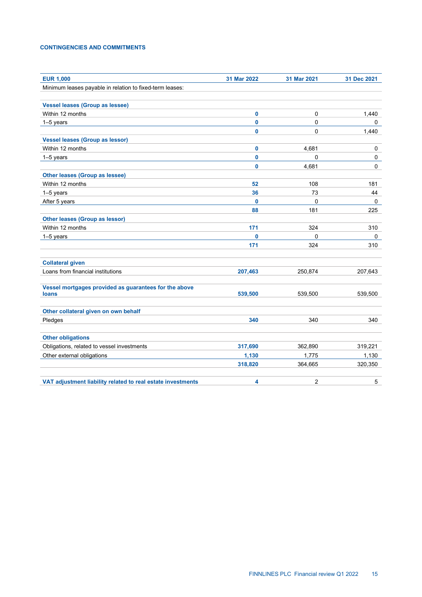# **CONTINGENCIES AND COMMITMENTS**

| <b>EUR 1,000</b>                                            | 31 Mar 2022  | 31 Mar 2021      | 31 Dec 2021 |
|-------------------------------------------------------------|--------------|------------------|-------------|
| Minimum leases payable in relation to fixed-term leases:    |              |                  |             |
|                                                             |              |                  |             |
| <b>Vessel leases (Group as lessee)</b>                      |              |                  |             |
| Within 12 months                                            | 0            | 0                | 1,440       |
| 1-5 years                                                   | $\mathbf{0}$ | 0                | 0           |
|                                                             | 0            | 0                | 1,440       |
| <b>Vessel leases (Group as lessor)</b>                      |              |                  |             |
| Within 12 months                                            | 0            | 4,681            | 0           |
| 1-5 years                                                   | 0            | 0                | 0           |
|                                                             | 0            | 4,681            | $\mathbf 0$ |
| <b>Other leases (Group as lessee)</b>                       |              |                  |             |
| Within 12 months                                            | 52           | 108              | 181         |
| $1-5$ years                                                 | 36           | 73               | 44          |
| After 5 years                                               | 0            | $\mathbf 0$      | 0           |
|                                                             | 88           | 181              | 225         |
| <b>Other leases (Group as lessor)</b>                       |              |                  |             |
| Within 12 months                                            | 171          | 324              | 310         |
| 1-5 years                                                   | 0            | 0                | 0           |
|                                                             | 171          | 324              | 310         |
|                                                             |              |                  |             |
| <b>Collateral given</b>                                     |              |                  |             |
| Loans from financial institutions                           | 207,463      | 250,874          | 207,643     |
|                                                             |              |                  |             |
| Vessel mortgages provided as guarantees for the above       | 539,500      | 539,500          | 539,500     |
| loans                                                       |              |                  |             |
| Other collateral given on own behalf                        |              |                  |             |
| Pledges                                                     | 340          | 340              | 340         |
|                                                             |              |                  |             |
| <b>Other obligations</b>                                    |              |                  |             |
| Obligations, related to vessel investments                  | 317,690      | 362,890          | 319,221     |
| Other external obligations                                  | 1,130        | 1,775            | 1,130       |
|                                                             | 318,820      | 364,665          | 320,350     |
| VAT adjustment liability related to real estate investments | 4            | $\boldsymbol{2}$ | 5           |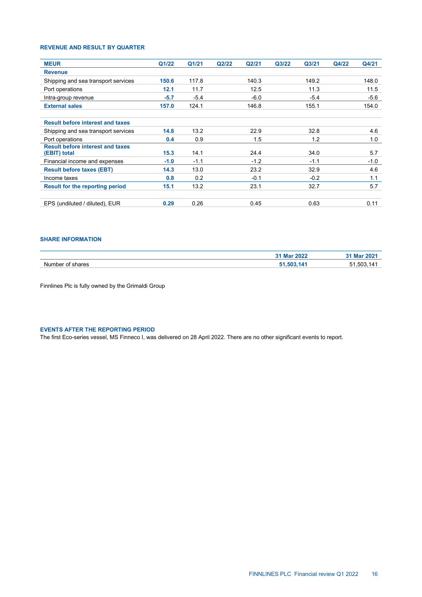# **REVENUE AND RESULT BY QUARTER**

| <b>MEUR</b>                             | Q1/22  | Q1/21  | Q2/22 | Q2/21  | Q3/22 | Q <sub>3/21</sub> | Q4/22 | Q4/21  |
|-----------------------------------------|--------|--------|-------|--------|-------|-------------------|-------|--------|
|                                         |        |        |       |        |       |                   |       |        |
| <b>Revenue</b>                          |        |        |       |        |       |                   |       |        |
| Shipping and sea transport services     | 150.6  | 117.8  |       | 140.3  |       | 149.2             |       | 148.0  |
| Port operations                         | 12.1   | 11.7   |       | 12.5   |       | 11.3              |       | 11.5   |
| Intra-group revenue                     | $-5.7$ | $-5.4$ |       | $-6.0$ |       | $-5.4$            |       | $-5.6$ |
| <b>External sales</b>                   | 157.0  | 124.1  |       | 146.8  |       | 155.1             |       | 154.0  |
| <b>Result before interest and taxes</b> |        |        |       |        |       |                   |       |        |
| Shipping and sea transport services     | 14.8   | 13.2   |       | 22.9   |       | 32.8              |       | 4.6    |
| Port operations                         | 0.4    | 0.9    |       | 1.5    |       | 1.2               |       | 1.0    |
| <b>Result before interest and taxes</b> |        |        |       |        |       |                   |       |        |
| (EBIT) total                            | 15.3   | 14.1   |       | 24.4   |       | 34.0              |       | 5.7    |
| Financial income and expenses           | $-1.0$ | $-1.1$ |       | $-1.2$ |       | $-1.1$            |       | $-1.0$ |
| <b>Result before taxes (EBT)</b>        | 14.3   | 13.0   |       | 23.2   |       | 32.9              |       | 4.6    |
| Income taxes                            | 0.8    | 0.2    |       | $-0.1$ |       | $-0.2$            |       | 1.1    |
| <b>Result for the reporting period</b>  | 15.1   | 13.2   |       | 23.1   |       | 32.7              |       | 5.7    |
| EPS (undiluted / diluted), EUR          | 0.29   | 0.26   |       | 0.45   |       | 0.63              |       | 0.11   |

# **SHARE INFORMATION**

|                      | 31 Mar 202 <sup>-</sup><br>ZUZZ | <b>Max</b><br>. и |
|----------------------|---------------------------------|-------------------|
| Nur<br>รhares<br>ոռա | . л                             | 503               |

Finnlines Plc is fully owned by the Grimaldi Group

# **EVENTS AFTER THE REPORTING PERIOD**

The first Eco-series vessel, MS Finneco I, was delivered on 28 April 2022. There are no other significant events to report.